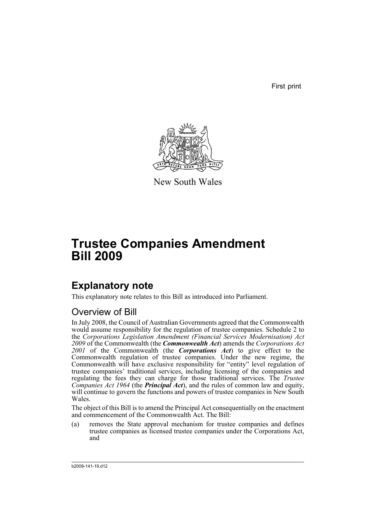First print



New South Wales

# **Trustee Companies Amendment Bill 2009**

## **Explanatory note**

This explanatory note relates to this Bill as introduced into Parliament.

## Overview of Bill

In July 2008, the Council of Australian Governments agreed that the Commonwealth would assume responsibility for the regulation of trustee companies. Schedule 2 to the *Corporations Legislation Amendment (Financial Services Modernisation) Act 2009* of the Commonwealth (the *Commonwealth Act*) amends the *Corporations Act 2001* of the Commonwealth (the *Corporations Act*) to give effect to the Commonwealth regulation of trustee companies. Under the new regime, the Commonwealth will have exclusive responsibility for "entity" level regulation of trustee companies' traditional services, including licensing of the companies and regulating the fees they can charge for those traditional services. The *Trustee Companies Act 1964* (the *Principal Act*), and the rules of common law and equity, will continue to govern the functions and powers of trustee companies in New South Wales.

The object of this Bill is to amend the Principal Act consequentially on the enactment and commencement of the Commonwealth Act. The Bill:

(a) removes the State approval mechanism for trustee companies and defines trustee companies as licensed trustee companies under the Corporations Act, and

b2009-141-19.d12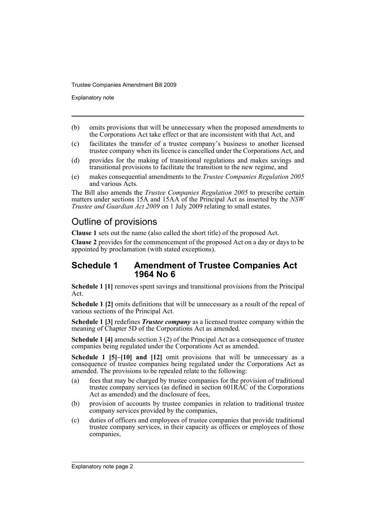Explanatory note

- (b) omits provisions that will be unnecessary when the proposed amendments to the Corporations Act take effect or that are inconsistent with that Act, and
- (c) facilitates the transfer of a trustee company's business to another licensed trustee company when its licence is cancelled under the Corporations Act, and
- (d) provides for the making of transitional regulations and makes savings and transitional provisions to facilitate the transition to the new regime, and
- (e) makes consequential amendments to the *Trustee Companies Regulation 2005* and various Acts.

The Bill also amends the *Trustee Companies Regulation 2005* to prescribe certain matters under sections 15A and 15AA of the Principal Act as inserted by the *NSW Trustee and Guardian Act 2009* on 1 July 2009 relating to small estates.

## Outline of provisions

**Clause 1** sets out the name (also called the short title) of the proposed Act.

**Clause 2** provides for the commencement of the proposed Act on a day or days to be appointed by proclamation (with stated exceptions).

### **Schedule 1 Amendment of Trustee Companies Act 1964 No 6**

**Schedule 1 [1]** removes spent savings and transitional provisions from the Principal Act.

**Schedule 1 [2]** omits definitions that will be unnecessary as a result of the repeal of various sections of the Principal Act.

**Schedule 1 [3]** redefines *Trustee company* as a licensed trustee company within the meaning of Chapter 5D of the Corporations Act as amended.

**Schedule 1 [4]** amends section 3 (2) of the Principal Act as a consequence of trustee companies being regulated under the Corporations Act as amended.

**Schedule 1 [5]–[10] and [12]** omit provisions that will be unnecessary as a consequence of trustee companies being regulated under the Corporations Act as amended. The provisions to be repealed relate to the following:

- (a) fees that may be charged by trustee companies for the provision of traditional trustee company services (as defined in section 601RAC of the Corporations Act as amended) and the disclosure of fees,
- (b) provision of accounts by trustee companies in relation to traditional trustee company services provided by the companies,
- (c) duties of officers and employees of trustee companies that provide traditional trustee company services, in their capacity as officers or employees of those companies,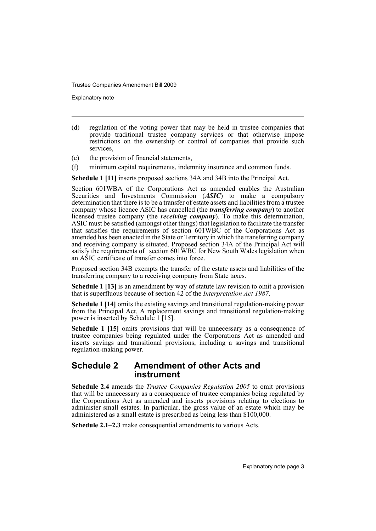Explanatory note

- (d) regulation of the voting power that may be held in trustee companies that provide traditional trustee company services or that otherwise impose restrictions on the ownership or control of companies that provide such services,
- (e) the provision of financial statements,
- (f) minimum capital requirements, indemnity insurance and common funds.

**Schedule 1 [11]** inserts proposed sections 34A and 34B into the Principal Act.

Section 601WBA of the Corporations Act as amended enables the Australian Securities and Investments Commission (*ASIC*) to make a compulsory determination that there is to be a transfer of estate assets and liabilities from a trustee company whose licence ASIC has cancelled (the *transferring company*) to another licensed trustee company (the *receiving company*). To make this determination, ASIC must be satisfied (amongst other things) that legislation to facilitate the transfer that satisfies the requirements of section 601WBC of the Corporations Act as amended has been enacted in the State or Territory in which the transferring company and receiving company is situated. Proposed section 34A of the Principal Act will satisfy the requirements of section 601WBC for New South Wales legislation when an ASIC certificate of transfer comes into force.

Proposed section 34B exempts the transfer of the estate assets and liabilities of the transferring company to a receiving company from State taxes.

**Schedule 1 [13]** is an amendment by way of statute law revision to omit a provision that is superfluous because of section 42 of the *Interpretation Act 1987*.

**Schedule 1 [14]** omits the existing savings and transitional regulation-making power from the Principal Act. A replacement savings and transitional regulation-making power is inserted by Schedule 1 [15].

**Schedule 1 [15]** omits provisions that will be unnecessary as a consequence of trustee companies being regulated under the Corporations Act as amended and inserts savings and transitional provisions, including a savings and transitional regulation-making power.

#### **Schedule 2 Amendment of other Acts and instrument**

**Schedule 2.4** amends the *Trustee Companies Regulation 2005* to omit provisions that will be unnecessary as a consequence of trustee companies being regulated by the Corporations Act as amended and inserts provisions relating to elections to administer small estates. In particular, the gross value of an estate which may be administered as a small estate is prescribed as being less than \$100,000.

**Schedule 2.1–2.3** make consequential amendments to various Acts.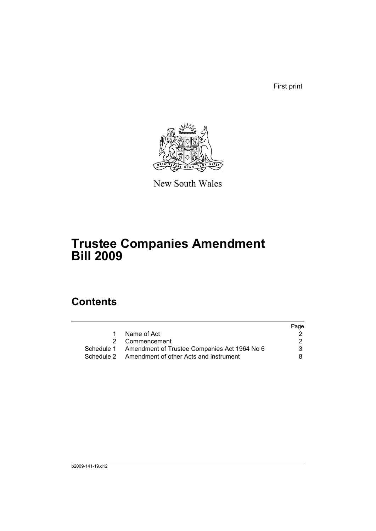First print



New South Wales

# **Trustee Companies Amendment Bill 2009**

## **Contents**

|  |                                                         | Page |
|--|---------------------------------------------------------|------|
|  | Name of Act                                             |      |
|  | 2 Commencement                                          | 2    |
|  | Schedule 1 Amendment of Trustee Companies Act 1964 No 6 | 3    |
|  | Schedule 2 Amendment of other Acts and instrument       | 8.   |
|  |                                                         |      |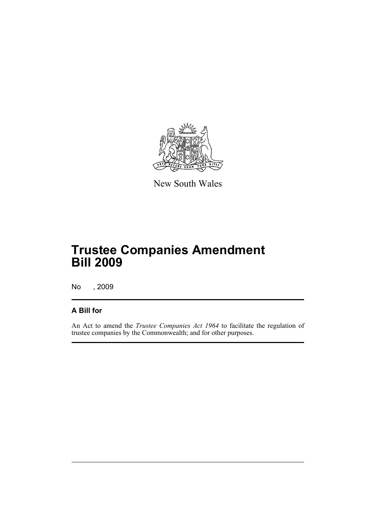

New South Wales

# **Trustee Companies Amendment Bill 2009**

No , 2009

## **A Bill for**

An Act to amend the *Trustee Companies Act 1964* to facilitate the regulation of trustee companies by the Commonwealth; and for other purposes.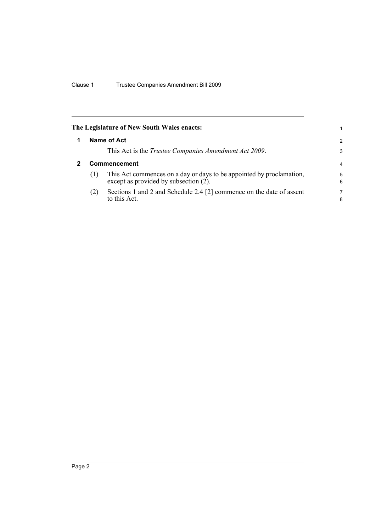<span id="page-7-1"></span><span id="page-7-0"></span>

|                     | The Legislature of New South Wales enacts:                                                                    | 1.            |  |  |
|---------------------|---------------------------------------------------------------------------------------------------------------|---------------|--|--|
|                     | Name of Act                                                                                                   | $\mathcal{P}$ |  |  |
|                     | This Act is the <i>Trustee Companies Amendment Act 2009</i> .                                                 | 3             |  |  |
| <b>Commencement</b> |                                                                                                               |               |  |  |
| (1)                 | This Act commences on a day or days to be appointed by proclamation,<br>except as provided by subsection (2). | 5<br>6        |  |  |
| (2)                 | Sections 1 and 2 and Schedule 2.4 [2] commence on the date of assent<br>to this Act.                          | 7<br>8        |  |  |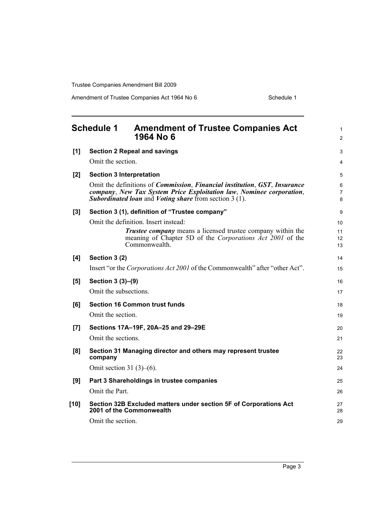Amendment of Trustee Companies Act 1964 No 6 Schedule 1

<span id="page-8-0"></span>

| <b>Schedule 1</b> |                                                                                               | <b>Amendment of Trustee Companies Act</b><br>1964 No 6                                                                                                                                                                                                   |                |  |  |  |
|-------------------|-----------------------------------------------------------------------------------------------|----------------------------------------------------------------------------------------------------------------------------------------------------------------------------------------------------------------------------------------------------------|----------------|--|--|--|
| [1]               |                                                                                               | <b>Section 2 Repeal and savings</b>                                                                                                                                                                                                                      | 3              |  |  |  |
|                   | Omit the section.                                                                             |                                                                                                                                                                                                                                                          | 4              |  |  |  |
| [2]               | <b>Section 3 Interpretation</b>                                                               |                                                                                                                                                                                                                                                          | 5              |  |  |  |
|                   |                                                                                               | Omit the definitions of <i>Commission</i> , <i>Financial institution</i> , <i>GST</i> , <i>Insurance</i><br>company, New Tax System Price Exploitation law, Nominee corporation,<br><b>Subordinated loan</b> and <i>Voting share</i> from section 3 (1). | 6<br>7<br>8    |  |  |  |
| [3]               |                                                                                               | Section 3 (1), definition of "Trustee company"                                                                                                                                                                                                           | 9              |  |  |  |
|                   |                                                                                               | Omit the definition. Insert instead:                                                                                                                                                                                                                     | 10             |  |  |  |
|                   |                                                                                               | <b>Trustee company</b> means a licensed trustee company within the<br>meaning of Chapter 5D of the Corporations Act 2001 of the<br>Commonwealth.                                                                                                         | 11<br>12<br>13 |  |  |  |
| [4]               | Section 3 (2)                                                                                 |                                                                                                                                                                                                                                                          | 14             |  |  |  |
|                   | Insert "or the Corporations Act 2001 of the Commonwealth" after "other Act".                  |                                                                                                                                                                                                                                                          |                |  |  |  |
| [5]               | Section 3 (3)–(9)                                                                             |                                                                                                                                                                                                                                                          | 16             |  |  |  |
|                   | Omit the subsections.                                                                         |                                                                                                                                                                                                                                                          | 17             |  |  |  |
| [6]               | <b>Section 16 Common trust funds</b>                                                          |                                                                                                                                                                                                                                                          |                |  |  |  |
|                   | Omit the section.                                                                             |                                                                                                                                                                                                                                                          | 19             |  |  |  |
| [7]               |                                                                                               | Sections 17A-19F, 20A-25 and 29-29E                                                                                                                                                                                                                      | 20             |  |  |  |
|                   | Omit the sections.                                                                            |                                                                                                                                                                                                                                                          | 21             |  |  |  |
| [8]               | company                                                                                       | Section 31 Managing director and others may represent trustee                                                                                                                                                                                            | 22<br>23       |  |  |  |
|                   | Omit section 31 $(3)$ – $(6)$ .                                                               |                                                                                                                                                                                                                                                          | 24             |  |  |  |
| [9]               |                                                                                               | Part 3 Shareholdings in trustee companies                                                                                                                                                                                                                | 25             |  |  |  |
|                   | Omit the Part.                                                                                |                                                                                                                                                                                                                                                          |                |  |  |  |
| $[10]$            | Section 32B Excluded matters under section 5F of Corporations Act<br>2001 of the Commonwealth |                                                                                                                                                                                                                                                          |                |  |  |  |
|                   | Omit the section.                                                                             |                                                                                                                                                                                                                                                          | 29             |  |  |  |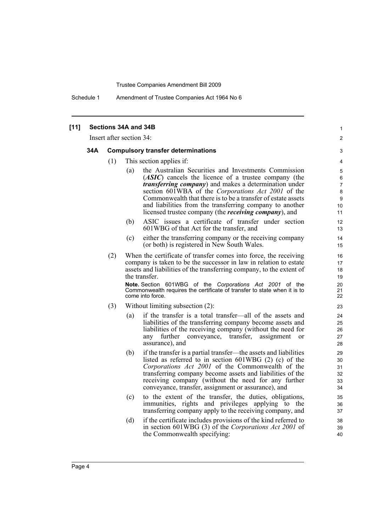Schedule 1 Amendment of Trustee Companies Act 1964 No 6

| Insert after section 34: |                                           |     |                                                                                                                                                                                                                                                                                                                                                                                                                                           |  |  |
|--------------------------|-------------------------------------------|-----|-------------------------------------------------------------------------------------------------------------------------------------------------------------------------------------------------------------------------------------------------------------------------------------------------------------------------------------------------------------------------------------------------------------------------------------------|--|--|
| 34A                      | <b>Compulsory transfer determinations</b> |     |                                                                                                                                                                                                                                                                                                                                                                                                                                           |  |  |
|                          | (1)                                       |     | This section applies if:                                                                                                                                                                                                                                                                                                                                                                                                                  |  |  |
|                          |                                           | (a) | the Australian Securities and Investments Commission<br>( <i>ASIC</i> ) cancels the licence of a trustee company (the<br><i>transferring company</i> ) and makes a determination under<br>section 601WBA of the Corporations Act 2001 of the<br>Commonwealth that there is to be a transfer of estate assets<br>and liabilities from the transferring company to another<br>licensed trustee company (the <i>receiving company</i> ), and |  |  |
|                          |                                           | (b) | ASIC issues a certificate of transfer under section<br>601WBG of that Act for the transfer, and                                                                                                                                                                                                                                                                                                                                           |  |  |
|                          |                                           | (c) | either the transferring company or the receiving company<br>(or both) is registered in New South Wales.                                                                                                                                                                                                                                                                                                                                   |  |  |
|                          | (2)                                       |     | When the certificate of transfer comes into force, the receiving<br>company is taken to be the successor in law in relation to estate<br>assets and liabilities of the transferring company, to the extent of<br>the transfer.<br>Note. Section 601WBG of the Corporations Act 2001 of the<br>Commonwealth requires the certificate of transfer to state when it is to<br>come into force.                                                |  |  |
|                          | (3)                                       |     | Without limiting subsection (2):                                                                                                                                                                                                                                                                                                                                                                                                          |  |  |
|                          |                                           | (a) | if the transfer is a total transfer—all of the assets and<br>liabilities of the transferring company become assets and<br>liabilities of the receiving company (without the need for<br>further conveyance,<br>transfer,<br>assignment<br>any<br>or<br>assurance), and                                                                                                                                                                    |  |  |
|                          |                                           | (b) | if the transfer is a partial transfer—the assets and liabilities<br>listed as referred to in section $601WBG$ (2) (c) of the<br>Corporations Act 2001 of the Commonwealth of the<br>transferring company become assets and liabilities of the<br>receiving company (without the need for any further<br>conveyance, transfer, assignment or assurance), and                                                                               |  |  |
|                          |                                           | (c) | to the extent of the transfer, the duties, obligations<br>immunities, rights and privileges applying to the<br>transferring company apply to the receiving company, and                                                                                                                                                                                                                                                                   |  |  |
|                          |                                           | (d) | if the certificate includes provisions of the kind referred to<br>in section 601WBG (3) of the Corporations Act 2001 of<br>the Commonwealth specifying:                                                                                                                                                                                                                                                                                   |  |  |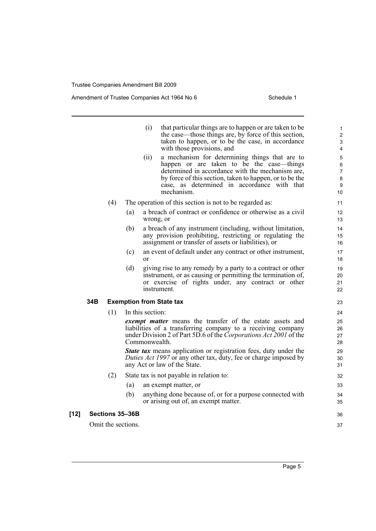i.

[12]

Amendment of Trustee Companies Act 1964 No 6 Schedule 1

|     |                    |     | (i)<br>(ii)      | that particular things are to happen or are taken to be<br>the case—those things are, by force of this section,<br>taken to happen, or to be the case, in accordance<br>with those provisions, and<br>a mechanism for determining things that are to<br>happen or are taken to be the case—things<br>determined in accordance with the mechanism are,<br>by force of this section, taken to happen, or to be the<br>case, as determined in accordance with that<br>mechanism. | 1<br>2<br>3<br>4<br>$\mathbf 5$<br>6<br>$\overline{7}$<br>$\bf 8$<br>9 |
|-----|--------------------|-----|------------------|-------------------------------------------------------------------------------------------------------------------------------------------------------------------------------------------------------------------------------------------------------------------------------------------------------------------------------------------------------------------------------------------------------------------------------------------------------------------------------|------------------------------------------------------------------------|
|     | (4)                |     |                  | The operation of this section is not to be regarded as:                                                                                                                                                                                                                                                                                                                                                                                                                       | 10<br>11                                                               |
|     |                    | (a) | wrong, or        | a breach of contract or confidence or otherwise as a civil                                                                                                                                                                                                                                                                                                                                                                                                                    | 12<br>13                                                               |
|     |                    | (b) |                  | a breach of any instrument (including, without limitation,<br>any provision prohibiting, restricting or regulating the<br>assignment or transfer of assets or liabilities), or                                                                                                                                                                                                                                                                                                | 14<br>15<br>16                                                         |
|     |                    | (c) | or               | an event of default under any contract or other instrument,                                                                                                                                                                                                                                                                                                                                                                                                                   | 17<br>18                                                               |
|     |                    | (d) |                  | giving rise to any remedy by a party to a contract or other<br>instrument, or as causing or permitting the termination of,<br>or exercise of rights under, any contract or other<br>instrument.                                                                                                                                                                                                                                                                               | 19<br>20<br>21<br>22                                                   |
| 34B |                    |     |                  | <b>Exemption from State tax</b>                                                                                                                                                                                                                                                                                                                                                                                                                                               | 23                                                                     |
|     | (1)                |     | In this section: |                                                                                                                                                                                                                                                                                                                                                                                                                                                                               | 24                                                                     |
|     |                    |     | Commonwealth.    | exempt matter means the transfer of the estate assets and<br>liabilities of a transferring company to a receiving company<br>under Division 2 of Part 5D.6 of the Corporations Act 2001 of the                                                                                                                                                                                                                                                                                | 25<br>26<br>27<br>28                                                   |
|     |                    |     |                  | <b>State tax</b> means application or registration fees, duty under the<br>Duties Act 1997 or any other tax, duty, fee or charge imposed by<br>any Act or law of the State.                                                                                                                                                                                                                                                                                                   | 29<br>30<br>31                                                         |
|     | (2)                |     |                  | State tax is not payable in relation to:                                                                                                                                                                                                                                                                                                                                                                                                                                      | 32                                                                     |
|     |                    | (a) |                  | an exempt matter, or                                                                                                                                                                                                                                                                                                                                                                                                                                                          | 33                                                                     |
|     |                    | (b) |                  | anything done because of, or for a purpose connected with<br>or arising out of, an exempt matter.                                                                                                                                                                                                                                                                                                                                                                             | 34<br>35                                                               |
|     | Sections 35-36B    |     |                  |                                                                                                                                                                                                                                                                                                                                                                                                                                                                               | 36                                                                     |
|     | Omit the sections. |     |                  |                                                                                                                                                                                                                                                                                                                                                                                                                                                                               | 37                                                                     |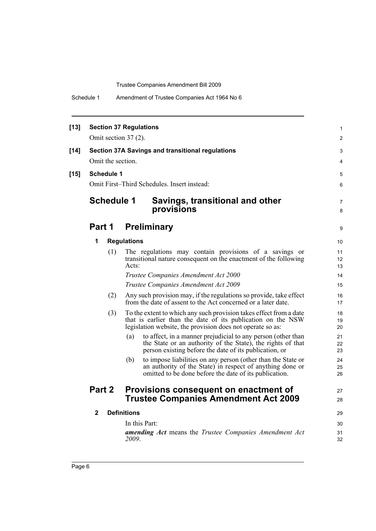|  | Schedule 1 | Amendment of Trustee Companies Act 1964 No 6 |
|--|------------|----------------------------------------------|
|--|------------|----------------------------------------------|

| $[13]$ | <b>Section 37 Regulations</b><br>Omit section $37(2)$ . |                                                                                                                                                                                                 |                |  |  |
|--------|---------------------------------------------------------|-------------------------------------------------------------------------------------------------------------------------------------------------------------------------------------------------|----------------|--|--|
| $[14]$ | Omit the section.                                       | <b>Section 37A Savings and transitional regulations</b>                                                                                                                                         | 3<br>4         |  |  |
| $[15]$ | <b>Schedule 1</b>                                       |                                                                                                                                                                                                 | 5              |  |  |
|        | Omit First-Third Schedules. Insert instead:             |                                                                                                                                                                                                 |                |  |  |
|        | <b>Schedule 1</b>                                       | Savings, transitional and other<br>provisions                                                                                                                                                   | 7<br>8         |  |  |
|        | Part 1                                                  | <b>Preliminary</b>                                                                                                                                                                              | 9              |  |  |
|        | 1                                                       | <b>Regulations</b>                                                                                                                                                                              | 10             |  |  |
|        | (1)                                                     | The regulations may contain provisions of a savings or<br>transitional nature consequent on the enactment of the following<br>Acts:                                                             | 11<br>12<br>13 |  |  |
|        |                                                         | Trustee Companies Amendment Act 2000                                                                                                                                                            | 14             |  |  |
|        |                                                         | Trustee Companies Amendment Act 2009                                                                                                                                                            | 15             |  |  |
|        | (2)                                                     | Any such provision may, if the regulations so provide, take effect<br>from the date of assent to the Act concerned or a later date.                                                             | 16<br>17       |  |  |
|        | (3)                                                     | To the extent to which any such provision takes effect from a date<br>that is earlier than the date of its publication on the NSW<br>legislation website, the provision does not operate so as: | 18<br>19<br>20 |  |  |
|        |                                                         | to affect, in a manner prejudicial to any person (other than<br>(a)<br>the State or an authority of the State), the rights of that<br>person existing before the date of its publication, or    | 21<br>22<br>23 |  |  |
|        |                                                         | to impose liabilities on any person (other than the State or<br>(b)<br>an authority of the State) in respect of anything done or<br>omitted to be done before the date of its publication.      | 24<br>25<br>26 |  |  |
|        | Part 2                                                  | Provisions consequent on enactment of                                                                                                                                                           | 27             |  |  |
|        |                                                         | <b>Trustee Companies Amendment Act 2009</b>                                                                                                                                                     | 28             |  |  |
|        | $\mathbf{2}$                                            | <b>Definitions</b>                                                                                                                                                                              | 29             |  |  |
|        |                                                         | In this Part:                                                                                                                                                                                   | 30             |  |  |
|        |                                                         | <b>amending Act</b> means the Trustee Companies Amendment Act<br>2009.                                                                                                                          | 31<br>32       |  |  |
|        |                                                         |                                                                                                                                                                                                 |                |  |  |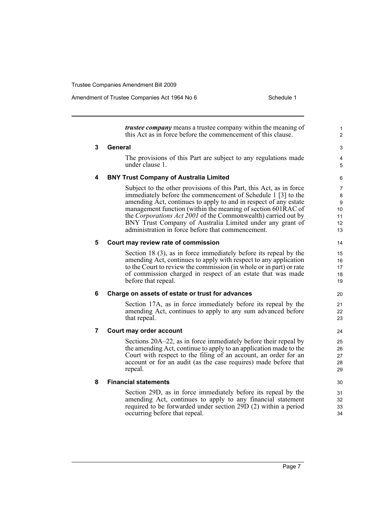Amendment of Trustee Companies Act 1964 No 6 Schedule 1

|   | <i>trustee company</i> means a trustee company within the meaning of<br>this Act as in force before the commencement of this clause.                                                                                                                                                                                                                                                                                                                       | 1<br>2                              |
|---|------------------------------------------------------------------------------------------------------------------------------------------------------------------------------------------------------------------------------------------------------------------------------------------------------------------------------------------------------------------------------------------------------------------------------------------------------------|-------------------------------------|
| 3 | General                                                                                                                                                                                                                                                                                                                                                                                                                                                    | 3                                   |
|   | The provisions of this Part are subject to any regulations made<br>under clause 1.                                                                                                                                                                                                                                                                                                                                                                         | 4<br>5                              |
| 4 | <b>BNY Trust Company of Australia Limited</b>                                                                                                                                                                                                                                                                                                                                                                                                              | 6                                   |
|   | Subject to the other provisions of this Part, this Act, as in force<br>immediately before the commencement of Schedule 1 [3] to the<br>amending Act, continues to apply to and in respect of any estate<br>management function (within the meaning of section 601RAC of<br>the Corporations Act 2001 of the Commonwealth) carried out by<br>BNY Trust Company of Australia Limited under any grant of<br>administration in force before that commencement. | 7<br>8<br>9<br>10<br>11<br>12<br>13 |
| 5 | Court may review rate of commission                                                                                                                                                                                                                                                                                                                                                                                                                        | 14                                  |
|   | Section 18 (3), as in force immediately before its repeal by the<br>amending Act, continues to apply with respect to any application<br>to the Court to review the commission (in whole or in part) or rate<br>of commission charged in respect of an estate that was made<br>before that repeal.                                                                                                                                                          | 15<br>16<br>17<br>18<br>19          |
| 6 | Charge on assets of estate or trust for advances                                                                                                                                                                                                                                                                                                                                                                                                           | 20                                  |
|   | Section 17A, as in force immediately before its repeal by the<br>amending Act, continues to apply to any sum advanced before<br>that repeal.                                                                                                                                                                                                                                                                                                               | 21<br>22<br>23                      |
| 7 | Court may order account                                                                                                                                                                                                                                                                                                                                                                                                                                    | 24                                  |
|   | Sections 20A–22, as in force immediately before their repeal by<br>the amending Act, continue to apply to an application made to the<br>Court with respect to the filing of an account, an order for an<br>account or for an audit (as the case requires) made before that<br>repeal.                                                                                                                                                                      | 25<br>26<br>27<br>28<br>29          |
| 8 | <b>Financial statements</b>                                                                                                                                                                                                                                                                                                                                                                                                                                | 30                                  |
|   | Section 29D, as in force immediately before its repeal by the<br>amending Act, continues to apply to any financial statement<br>required to be forwarded under section 29D (2) within a period<br>occurring before that repeal.                                                                                                                                                                                                                            | 31<br>32<br>33<br>34                |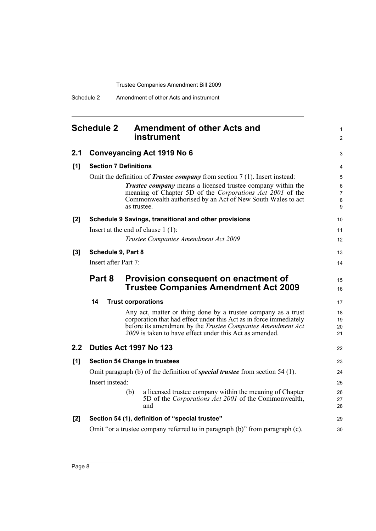Schedule 2 Amendment of other Acts and instrument

#### <span id="page-13-0"></span>**Schedule 2 Amendment of other Acts and instrument 2.1 Conveyancing Act 1919 No 6 [1] Section 7 Definitions** Omit the definition of *Trustee company* from section 7 (1). Insert instead: *Trustee company* means a licensed trustee company within the meaning of Chapter 5D of the *Corporations Act 2001* of the Commonwealth authorised by an Act of New South Wales to act as trustee. **[2] Schedule 9 Savings, transitional and other provisions** Insert at the end of clause 1 (1): *Trustee Companies Amendment Act 2009* **[3] Schedule 9, Part 8** Insert after Part 7: **Part 8 Provision consequent on enactment of Trustee Companies Amendment Act 2009 14 Trust corporations** Any act, matter or thing done by a trustee company as a trust corporation that had effect under this Act as in force immediately before its amendment by the *Trustee Companies Amendment Act 2009* is taken to have effect under this Act as amended. **2.2 Duties Act 1997 No 123 [1] Section 54 Change in trustees** Omit paragraph (b) of the definition of *special trustee* from section 54 (1). Insert instead: (b) a licensed trustee company within the meaning of Chapter 5D of the *Corporations Act 2001* of the Commonwealth, and **[2] Section 54 (1), definition of "special trustee"** Omit "or a trustee company referred to in paragraph (b)" from paragraph (c). 1  $\mathfrak{p}$ 3 4 5 6 7 8 9 10 11 12 13 14 15 16 17 18 19 20 21 22 23 24 25 26  $27$ 28 29 30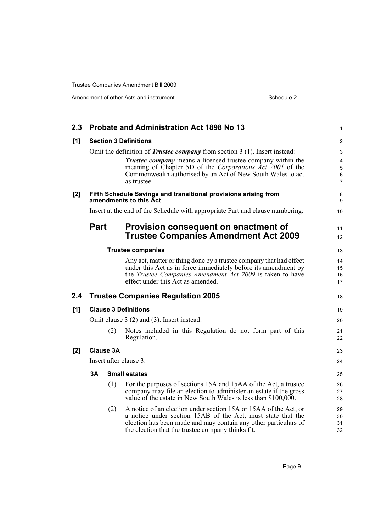| Probate and Administration Act 1898 No 13<br>2.3 <sub>1</sub>                             |     |                                                                                                                                                                                                                                                         |                                                                                                                                                                                                                                                                                                                                                                           |  |  |
|-------------------------------------------------------------------------------------------|-----|---------------------------------------------------------------------------------------------------------------------------------------------------------------------------------------------------------------------------------------------------------|---------------------------------------------------------------------------------------------------------------------------------------------------------------------------------------------------------------------------------------------------------------------------------------------------------------------------------------------------------------------------|--|--|
| <b>Section 3 Definitions</b>                                                              |     |                                                                                                                                                                                                                                                         |                                                                                                                                                                                                                                                                                                                                                                           |  |  |
|                                                                                           |     | <b>Trustee company</b> means a licensed trustee company within the<br>meaning of Chapter 5D of the Corporations Act 2001 of the<br>Commonwealth authorised by an Act of New South Wales to act<br>as trustee.                                           | 3<br>4<br>5<br>6<br>$\overline{7}$                                                                                                                                                                                                                                                                                                                                        |  |  |
| Fifth Schedule Savings and transitional provisions arising from<br>amendments to this Act |     |                                                                                                                                                                                                                                                         |                                                                                                                                                                                                                                                                                                                                                                           |  |  |
|                                                                                           |     |                                                                                                                                                                                                                                                         | 10                                                                                                                                                                                                                                                                                                                                                                        |  |  |
|                                                                                           |     | Provision consequent on enactment of<br><b>Trustee Companies Amendment Act 2009</b>                                                                                                                                                                     | 11<br>12                                                                                                                                                                                                                                                                                                                                                                  |  |  |
|                                                                                           |     |                                                                                                                                                                                                                                                         | 13                                                                                                                                                                                                                                                                                                                                                                        |  |  |
|                                                                                           |     | Any act, matter or thing done by a trustee company that had effect<br>under this Act as in force immediately before its amendment by<br>the Trustee Companies Amendment Act 2009 is taken to have<br>effect under this Act as amended.                  | 14<br>15<br>16<br>17                                                                                                                                                                                                                                                                                                                                                      |  |  |
|                                                                                           |     |                                                                                                                                                                                                                                                         | 18                                                                                                                                                                                                                                                                                                                                                                        |  |  |
|                                                                                           |     |                                                                                                                                                                                                                                                         | 19                                                                                                                                                                                                                                                                                                                                                                        |  |  |
|                                                                                           |     |                                                                                                                                                                                                                                                         | 20                                                                                                                                                                                                                                                                                                                                                                        |  |  |
|                                                                                           | (2) | Notes included in this Regulation do not form part of this<br>Regulation.                                                                                                                                                                               | 21<br>22                                                                                                                                                                                                                                                                                                                                                                  |  |  |
|                                                                                           |     |                                                                                                                                                                                                                                                         | 23                                                                                                                                                                                                                                                                                                                                                                        |  |  |
|                                                                                           |     |                                                                                                                                                                                                                                                         | 24                                                                                                                                                                                                                                                                                                                                                                        |  |  |
| 3Α                                                                                        |     |                                                                                                                                                                                                                                                         | 25                                                                                                                                                                                                                                                                                                                                                                        |  |  |
|                                                                                           | (1) | For the purposes of sections 15A and 15AA of the Act, a trustee<br>company may file an election to administer an estate if the gross<br>value of the estate in New South Wales is less than \$100,000.                                                  | 26<br>27<br>28                                                                                                                                                                                                                                                                                                                                                            |  |  |
|                                                                                           | (2) | A notice of an election under section 15A or 15AA of the Act, or<br>a notice under section 15AB of the Act, must state that the<br>election has been made and may contain any other particulars of<br>the election that the trustee company thinks fit. | 29<br>30<br>31<br>32                                                                                                                                                                                                                                                                                                                                                      |  |  |
|                                                                                           |     | <b>Part</b><br><b>Clause 3A</b>                                                                                                                                                                                                                         | Omit the definition of <i>Trustee company</i> from section 3 (1). Insert instead:<br>Insert at the end of the Schedule with appropriate Part and clause numbering:<br><b>Trustee companies</b><br><b>Trustee Companies Regulation 2005</b><br><b>Clause 3 Definitions</b><br>Omit clause 3 (2) and (3). Insert instead:<br>Insert after clause 3:<br><b>Small estates</b> |  |  |